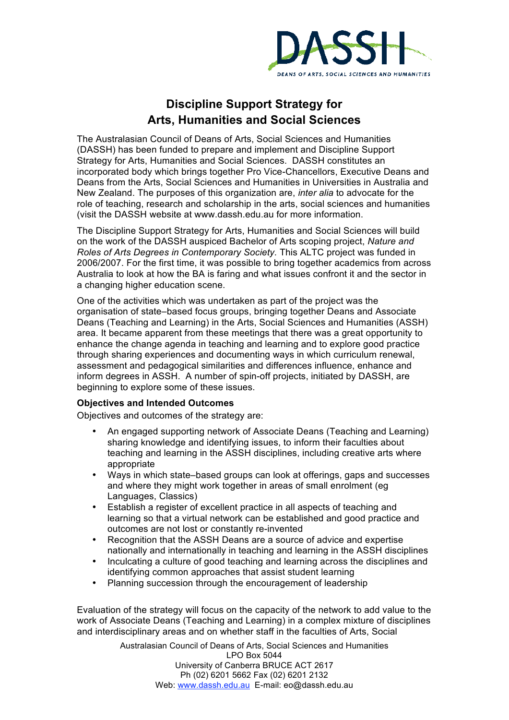

## **Discipline Support Strategy for Arts, Humanities and Social Sciences**

The Australasian Council of Deans of Arts, Social Sciences and Humanities (DASSH) has been funded to prepare and implement and Discipline Support Strategy for Arts, Humanities and Social Sciences. DASSH constitutes an incorporated body which brings together Pro Vice-Chancellors, Executive Deans and Deans from the Arts, Social Sciences and Humanities in Universities in Australia and New Zealand. The purposes of this organization are, *inter alia* to advocate for the role of teaching, research and scholarship in the arts, social sciences and humanities (visit the DASSH website at www.dassh.edu.au for more information.

The Discipline Support Strategy for Arts, Humanities and Social Sciences will build on the work of the DASSH auspiced Bachelor of Arts scoping project, *Nature and Roles of Arts Degrees in Contemporary Society.* This ALTC project was funded in 2006/2007. For the first time, it was possible to bring together academics from across Australia to look at how the BA is faring and what issues confront it and the sector in a changing higher education scene.

One of the activities which was undertaken as part of the project was the organisation of state–based focus groups, bringing together Deans and Associate Deans (Teaching and Learning) in the Arts, Social Sciences and Humanities (ASSH) area. It became apparent from these meetings that there was a great opportunity to enhance the change agenda in teaching and learning and to explore good practice through sharing experiences and documenting ways in which curriculum renewal, assessment and pedagogical similarities and differences influence, enhance and inform degrees in ASSH. A number of spin-off projects, initiated by DASSH, are beginning to explore some of these issues.

## **Objectives and Intended Outcomes**

Objectives and outcomes of the strategy are:

- An engaged supporting network of Associate Deans (Teaching and Learning) sharing knowledge and identifying issues, to inform their faculties about teaching and learning in the ASSH disciplines, including creative arts where appropriate
- Ways in which state–based groups can look at offerings, gaps and successes and where they might work together in areas of small enrolment (eg Languages, Classics)
- Establish a register of excellent practice in all aspects of teaching and learning so that a virtual network can be established and good practice and outcomes are not lost or constantly re-invented
- Recognition that the ASSH Deans are a source of advice and expertise nationally and internationally in teaching and learning in the ASSH disciplines
- Inculcating a culture of good teaching and learning across the disciplines and identifying common approaches that assist student learning
- Planning succession through the encouragement of leadership

Evaluation of the strategy will focus on the capacity of the network to add value to the work of Associate Deans (Teaching and Learning) in a complex mixture of disciplines and interdisciplinary areas and on whether staff in the faculties of Arts, Social

> Australasian Council of Deans of Arts, Social Sciences and Humanities LPO Box 5044 University of Canberra BRUCE ACT 2617 Ph (02) 6201 5662 Fax (02) 6201 2132 Web: www.dassh.edu.au E-mail: eo@dassh.edu.au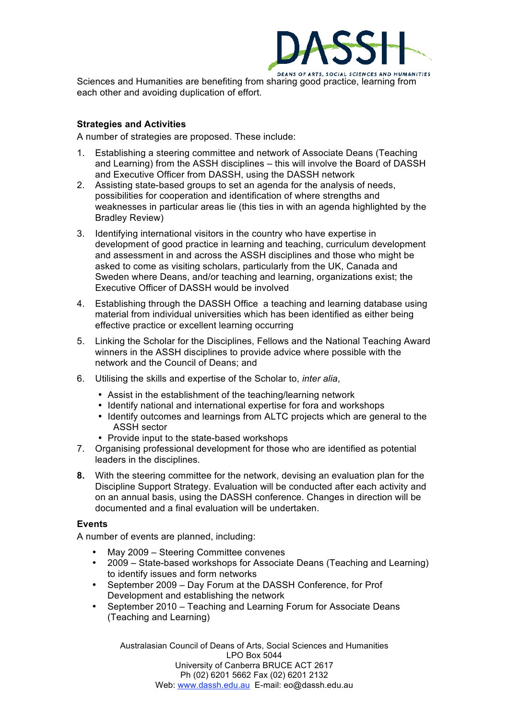

Sciences and Humanities are benefiting from sharing good practice, learning from each other and avoiding duplication of effort.

## **Strategies and Activities**

A number of strategies are proposed. These include:

- 1. Establishing a steering committee and network of Associate Deans (Teaching and Learning) from the ASSH disciplines – this will involve the Board of DASSH and Executive Officer from DASSH, using the DASSH network
- 2. Assisting state-based groups to set an agenda for the analysis of needs, possibilities for cooperation and identification of where strengths and weaknesses in particular areas lie (this ties in with an agenda highlighted by the Bradley Review)
- 3. Identifying international visitors in the country who have expertise in development of good practice in learning and teaching, curriculum development and assessment in and across the ASSH disciplines and those who might be asked to come as visiting scholars, particularly from the UK, Canada and Sweden where Deans, and/or teaching and learning, organizations exist; the Executive Officer of DASSH would be involved
- 4. Establishing through the DASSH Office a teaching and learning database using material from individual universities which has been identified as either being effective practice or excellent learning occurring
- 5. Linking the Scholar for the Disciplines, Fellows and the National Teaching Award winners in the ASSH disciplines to provide advice where possible with the network and the Council of Deans; and
- 6. Utilising the skills and expertise of the Scholar to, *inter alia*,
	- Assist in the establishment of the teaching/learning network
	- Identify national and international expertise for fora and workshops
	- Identify outcomes and learnings from ALTC projects which are general to the ASSH sector
	- Provide input to the state-based workshops
- 7. Organising professional development for those who are identified as potential leaders in the disciplines.
- **8.** With the steering committee for the network, devising an evaluation plan for the Discipline Support Strategy. Evaluation will be conducted after each activity and on an annual basis, using the DASSH conference. Changes in direction will be documented and a final evaluation will be undertaken.

## **Events**

A number of events are planned, including:

- May 2009 Steering Committee convenes
- 2009 State-based workshops for Associate Deans (Teaching and Learning) to identify issues and form networks
- September 2009 Day Forum at the DASSH Conference, for Prof Development and establishing the network
- September 2010 Teaching and Learning Forum for Associate Deans (Teaching and Learning)

Australasian Council of Deans of Arts, Social Sciences and Humanities LPO Box 5044 University of Canberra BRUCE ACT 2617 Ph (02) 6201 5662 Fax (02) 6201 2132 Web: www.dassh.edu.au E-mail: eo@dassh.edu.au